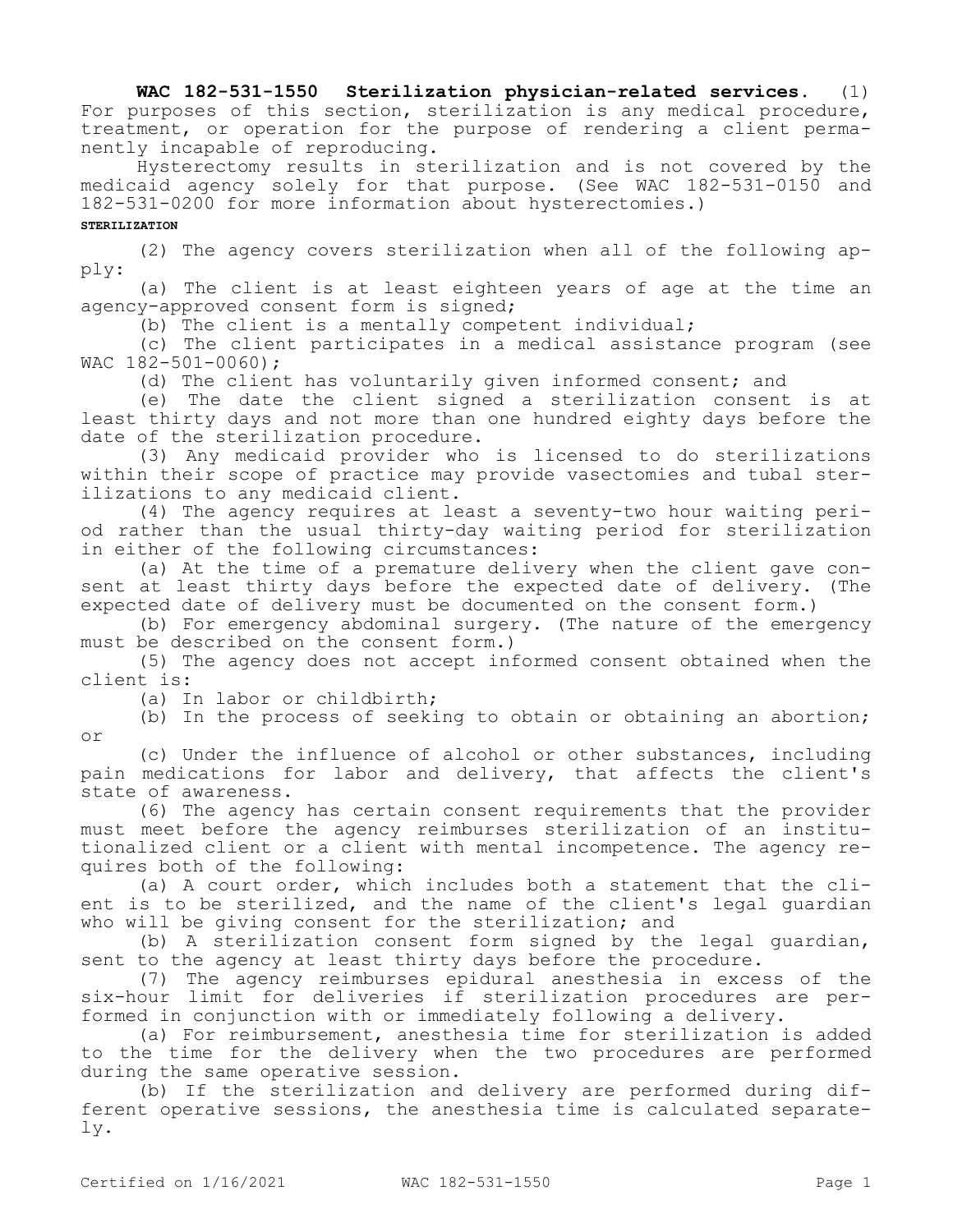## **WAC 182-531-1550 Sterilization physician-related services.** (1) For purposes of this section, sterilization is any medical procedure, treatment, or operation for the purpose of rendering a client permanently incapable of reproducing.

Hysterectomy results in sterilization and is not covered by the medicaid agency solely for that purpose. (See WAC 182-531-0150 and 182-531-0200 for more information about hysterectomies.)

## **STERILIZATION**

(2) The agency covers sterilization when all of the following apply:

(a) The client is at least eighteen years of age at the time an agency-approved consent form is signed;

(b) The client is a mentally competent individual;

(c) The client participates in a medical assistance program (see WAC 182-501-0060);

(d) The client has voluntarily given informed consent; and

(e) The date the client signed a sterilization consent is at least thirty days and not more than one hundred eighty days before the date of the sterilization procedure.

(3) Any medicaid provider who is licensed to do sterilizations within their scope of practice may provide vasectomies and tubal sterilizations to any medicaid client.

(4) The agency requires at least a seventy-two hour waiting period rather than the usual thirty-day waiting period for sterilization in either of the following circumstances:

(a) At the time of a premature delivery when the client gave consent at least thirty days before the expected date of delivery. (The expected date of delivery must be documented on the consent form.)

(b) For emergency abdominal surgery. (The nature of the emergency must be described on the consent form.)

(5) The agency does not accept informed consent obtained when the client is:

(a) In labor or childbirth;

(b) In the process of seeking to obtain or obtaining an abortion; or

(c) Under the influence of alcohol or other substances, including pain medications for labor and delivery, that affects the client's state of awareness.

(6) The agency has certain consent requirements that the provider must meet before the agency reimburses sterilization of an institutionalized client or a client with mental incompetence. The agency requires both of the following:

(a) A court order, which includes both a statement that the client is to be sterilized, and the name of the client's legal guardian who will be giving consent for the sterilization; and

(b) A sterilization consent form signed by the legal guardian, sent to the agency at least thirty days before the procedure.

(7) The agency reimburses epidural anesthesia in excess of the six-hour limit for deliveries if sterilization procedures are performed in conjunction with or immediately following a delivery.

(a) For reimbursement, anesthesia time for sterilization is added to the time for the delivery when the two procedures are performed during the same operative session.

(b) If the sterilization and delivery are performed during different operative sessions, the anesthesia time is calculated separately.